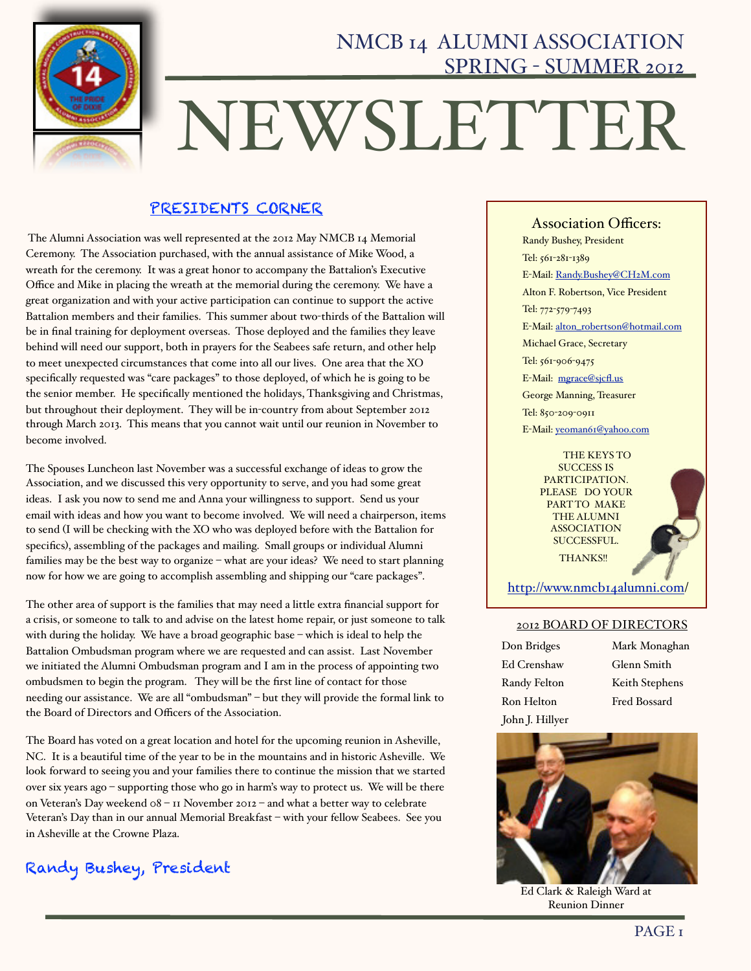

# NEWSLETTER

# PRESIDENTS CORNER

 The Alumni Association was well represented at the 2012 May NMCB 14 Memorial Ceremony. The Association purchased, with the annual assistance of Mike Wood, a wreath for the ceremony. It was a great honor to accompany the Battalion's Executive Office and Mike in placing the wreath at the memorial during the ceremony. We have a great organization and with your active participation can continue to support the active Battalion members and their families. This summer about two-thirds of the Battalion will be in final training for deployment overseas. Those deployed and the families they leave behind will need our support, both in prayers for the Seabees safe return, and other help to meet unexpected circumstances that come into all our lives. One area that the XO specifically requested was "care packages" to those deployed, of which he is going to be the senior member. He specifically mentioned the holidays, Thanksgiving and Christmas, but throughout their deployment. They will be in-country from about September 2012 through March 2013. This means that you cannot wait until our reunion in November to become involved.

The Spouses Luncheon last November was a successful exchange of ideas to grow the Association, and we discussed this very opportunity to serve, and you had some great ideas. I ask you now to send me and Anna your willingness to support. Send us your email with ideas and how you want to become involved. We will need a chairperson, items to send (I will be checking with the XO who was deployed before with the Battalion for specifics), assembling of the packages and mailing. Small groups or individual Alumni families may be the best way to organize - what are your ideas? We need to start planning now for how we are going to accomplish assembling and shipping our "care packages".

The other area of support is the families that may need a little extra financial support for a crisis, or someone to talk to and advise on the latest home repair, or just someone to talk with during the holiday. We have a broad geographic base - which is ideal to help the Battalion Ombudsman program where we are requested and can assist. Last November we initiated the Alumni Ombudsman program and I am in the process of appointing two ombudsmen to begin the program. They will be the first line of contact for those needing our assistance. We are all "ombudsman" – but they will provide the formal link to the Board of Directors and Officers of the Association.

The Board has voted on a great location and hotel for the upcoming reunion in Asheville, NC. It is a beautiful time of the year to be in the mountains and in historic Asheville. We look forward to seeing you and your families there to continue the mission that we started over six years ago - supporting those who go in harm's way to protect us. We will be there on Veteran's Day weekend  $08 -$  11 November 2012 – and what a better way to celebrate Veteran's Day than in our annual Memorial Breakfast – with your fellow Seabees. See you in Asheville at the Crowne Plaza.

# Randy Bushey, President

**Association Officers:** Randy Bushey, President Tel: 561-281-1389 E-Mail: [Randy.Bushey@CH2M.com](mailto:Randy.Bushey@CH2M.com) Alton F. Robertson, Vice President Tel: 772-579-7493 E-Mail: [alton\\_robertson@hotmail.com](mailto:alton_robertson@hotmail.com) Michael Grace, Secretary Tel: 561-906-9475 E-Mail: [mgrace@sjcØ.us](mailto:mgrace@sjcfl.us) George Manning, Treasurer Tel: 850-209-0911 E-Mail: [yeoman61@yahoo.com](mailto:r.l.helton@att.net)

> THE KEYS TO SUCCESS IS PARTICIPATION. PLEASE DO YOUR PART TO MAKE THE ALUMNI ASSOCIATION SUCCESSFUL. THANKS!!



#### 2012 BOARD OF DIRECTORS

| Don Bridges     | Mark Monaghan  |
|-----------------|----------------|
| Ed Crenshaw     | Glenn Smith    |
| Randy Felton    | Keith Stephens |
| Ron Helton      | Fred Bossard   |
| John J. Hillyer |                |



Ed Clark & Raleigh Ward at Reunion Dinner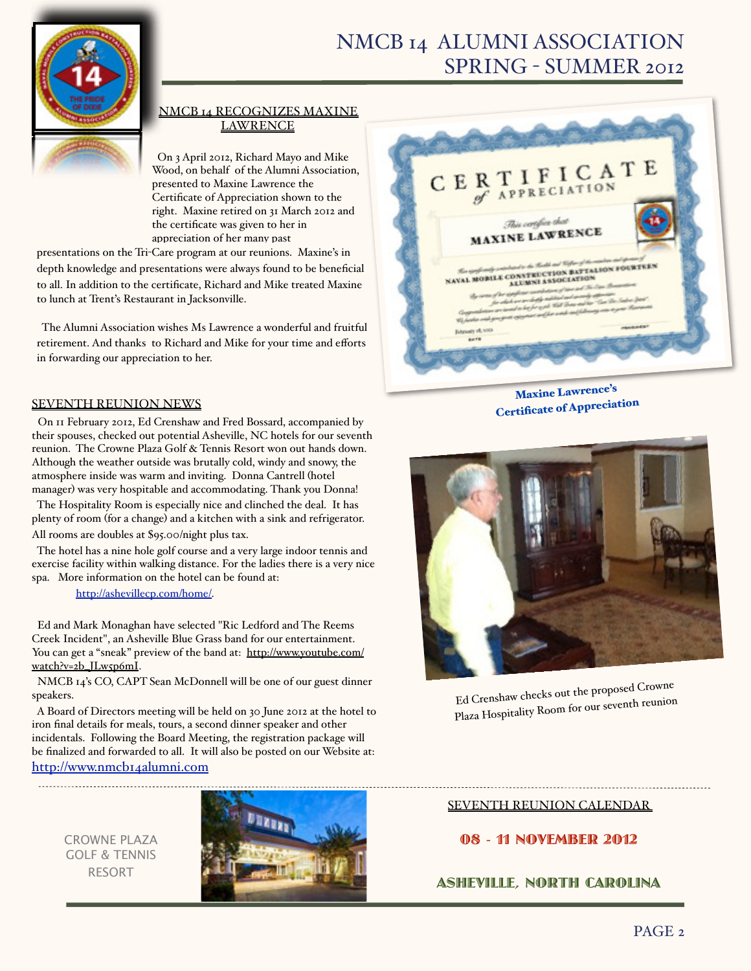

## NMCB 14 RECOGNIZES MAXINE **LAWRENCE**

 On 3 April 2012, Richard Mayo and Mike Wood, on behalf of the Alumni Association, presented to Maxine Lawrence the Certificate of Appreciation shown to the right. Maxine retired on 31 March 2012 and the certificate was given to her in appreciation of her many past

presentations on the Tri-Care program at our reunions. Maxine's in depth knowledge and presentations were always found to be beneficial to all. In addition to the certificate, Richard and Mike treated Maxine to lunch at Trent's Restaurant in Jacksonville.

 The Alumni Association wishes Ms Lawrence a wonderful and fruitful retirement. And thanks to Richard and Mike for your time and efforts in forwarding our appreciation to her.

#### SEVENTH REUNION NEWS

On 11 February 2012, Ed Crenshaw and Fred Bossard, accompanied by their spouses, checked out potential Asheville, NC hotels for our seventh reunion. The Crowne Plaza Golf & Tennis Resort won out hands down. Although the weather outside was brutally cold, windy and snowy, the atmosphere inside was warm and inviting. Donna Cantrell (hotel manager) was very hospitable and accommodating. Thank you Donna!

 The Hospitality Room is especially nice and clinched the deal. It has plenty of room (for a change) and a kitchen with a sink and refrigerator. All rooms are doubles at \$95.00/night plus tax.

 The hotel has a nine hole golf course and a very large indoor tennis and exercise facility within walking distance. For the ladies there is a very nice spa. More information on the hotel can be found at:

[http://ashevillecp.com/home/.](http://ashevillecp.com/home/)

 Ed and Mark Monaghan have selected "Ric Ledford and The Reems Creek Incident", an Asheville Blue Grass band for our entertainment. You can get a "sneak" preview of the band at: http://www.youtube.com/ watch?v=2b\_JLw5p6mI.

 NMCB 14ís CO, CAPT Sean McDonnell will be one of our guest dinner speakers.

 A Board of Directors meeting will be held on 30 June 2012 at the hotel to iron final details for meals, tours, a second dinner speaker and other incidentals. Following the Board Meeting, the registration package will be finalized and forwarded to all. It will also be posted on our Website at:

<http://www.nmcb14alumni.com>

CROWNE PLAZA GOLF & TENNIS RESORT





**Maxine Lawrenceís Certificate of Appreciation** 



Ed Crenshaw checks out the propose<sup>d</sup> Crowne Plaza Hospitality Room for our seventh reunion

#### SEVENTH REUNION CALENDAR

08 - 11 NOVEMBER 2012

ASHEVILLE, NORTH CAROLINA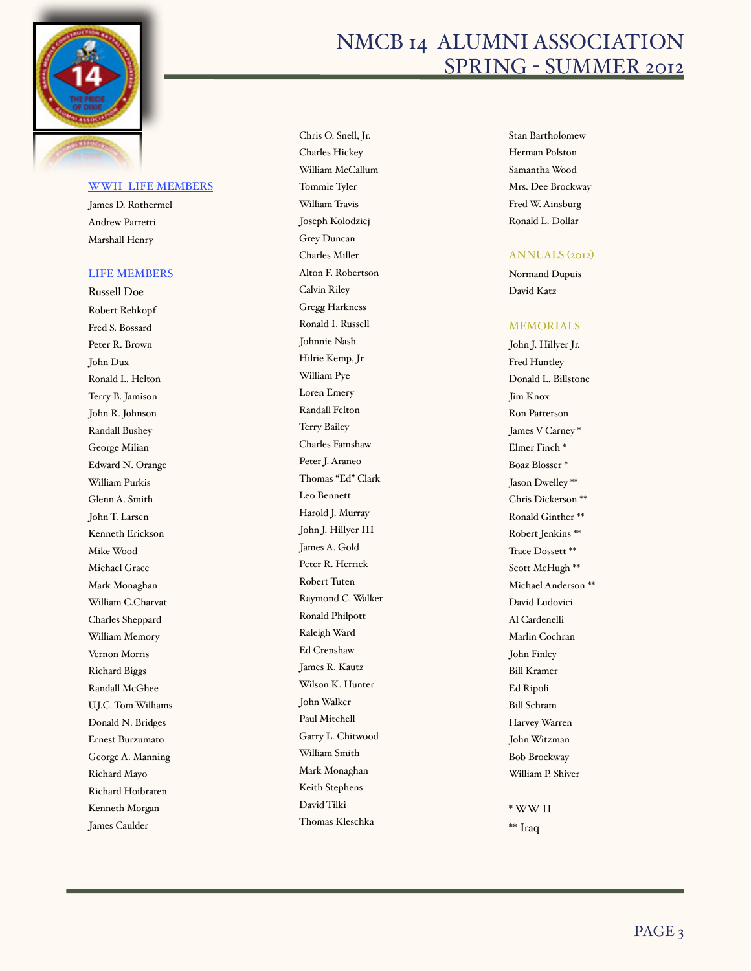

## WWII LIFE MEMBERS

James D. Rothermel Andrew Parretti Marshall Henry

#### LIFE MEMBERS

Russell Doe Robert Rehkopf Fred S. Bossard Peter R. Brown John Dux Ronald L. Helton Terry B. Jamison John R. Johnson Randall Bushey George Milian Edward N. Orange William Purkis Glenn A. Smith John T. Larsen Kenneth Erickson Mike Wood Michael Grace Mark Monaghan William C.Charvat Charles Sheppard William Memory Vernon Morris Richard Biggs Randall McGhee U.J.C. Tom Williams Donald N. Bridges Ernest Burzumato George A. Manning Richard Mayo Richard Hoibraten Kenneth Morgan James Caulder

Chris O. Snell, Jr. Charles Hickey William McCallum Tommie Tyler William Travis Joseph Kolodziej Grey Duncan Charles Miller Alton F. Robertson Calvin Riley Gregg Harkness Ronald I. Russell Johnnie Nash Hilrie Kemp, Jr William Pye Loren Emery Randall Felton Terry Bailey Charles Famshaw Peter J. Araneo Thomas "Ed" Clark Leo Bennett Harold J. Murray John J. Hillyer III James A. Gold Peter R. Herrick Robert Tuten Raymond C. Walker Ronald Philpott Raleigh Ward Ed Crenshaw James R. Kautz Wilson K. Hunter John Walker Paul Mitchell Garry L. Chitwood William Smith Mark Monaghan Keith Stephens David Tilki Thomas Kleschka

# NMCB 14 ALUMNI ASSOCIATION SPRING - SUMMER 2012

Stan Bartholomew Herman Polston Samantha Wood Mrs. Dee Brockway Fred W. Ainsburg Ronald L. Dollar

#### ANNUALS (2012)

Normand Dupuis David Katz

#### MEMORIALS

John J. Hillyer Jr. Fred Huntley Donald L. Billstone Jim Knox Ron Patterson James V Carney \* Elmer Finch \* Boaz Blosser \* Jason Dwelley \*\* Chris Dickerson \*\* Ronald Ginther \*\* Robert Jenkins \*\* Trace Dossett \*\* Scott McHugh \*\* Michael Anderson \*\* David Ludovici Al Cardenelli Marlin Cochran John Finley Bill Kramer Ed Ripoli Bill Schram Harvey Warren John Witzman Bob Brockway William P. Shiver

\* WW II \*\* Iraq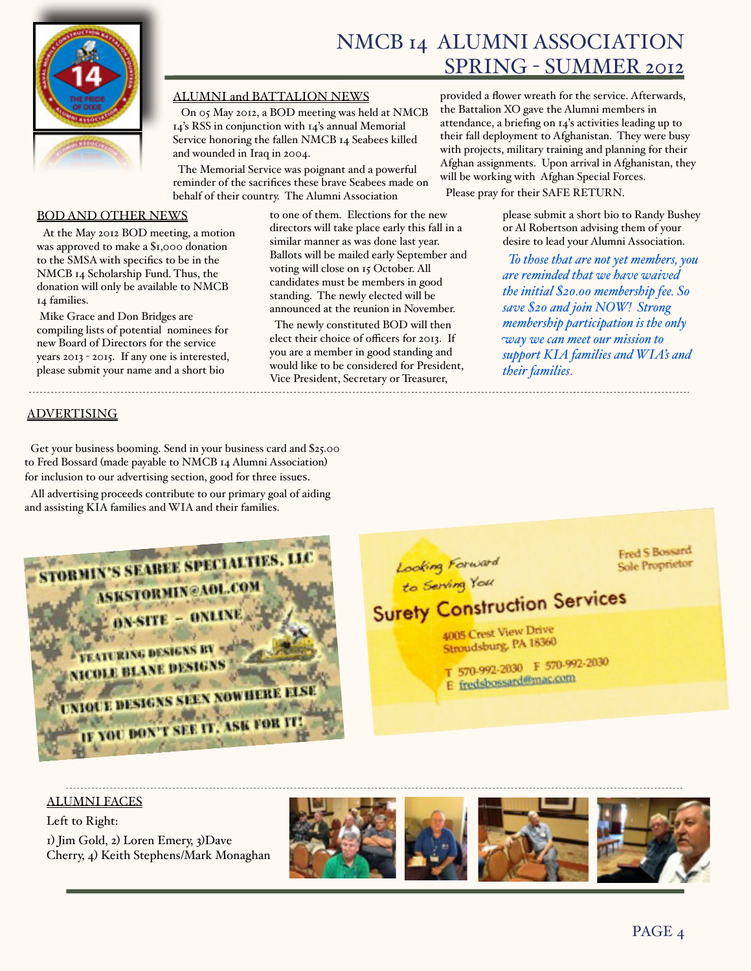

## ALUMNI and BATTALION NEWS

 On 05 May 2012, a BOD meeting was held at NMCB 14ís RSS in conjunction with 14ís annual Memorial Service honoring the fallen NMCB 14 Seabees killed and wounded in Iraq in 2004.

 The Memorial Service was poignant and a powerful reminder of the sacrifices these brave Seabees made on behalf of their country. The Alumni Association

#### BOD AND OTHER NEWS

At the May 2012 BOD meeting, a motion was approved to make a \$1,000 donation to the SMSA with specifics to be in the NMCB 14 Scholarship Fund. Thus, the donation will only be available to NMCB 14 families.

 Mike Grace and Don Bridges are compiling lists of potential nominees for new Board of Directors for the service years 2013 - 2015. If any one is interested, please submit your name and a short bio

#### ADVERTISING

Get your business booming. Send in your business card and \$25.00 to Fred Bossard (made payable to NMCB 14 Alumni Association) for inclusion to our advertising section, good for three issues.

All advertising proceeds contribute to our primary goal of aiding and assisting KIA families and WIA and their families.



to one of them. Elections for the new directors will take place early this fall in a similar manner as was done last year. Ballots will be mailed early September and voting will close on 15 October. All candidates must be members in good standing. The newly elected will be announced at the reunion in November.

 The newly constituted BOD will then elect their choice of officers for 2013. If you are a member in good standing and would like to be considered for President, Vice President, Secretary or Treasurer,

provided a flower wreath for the service. Afterwards, the Battalion XO gave the Alumni members in attendance, a briefing on 14's activities leading up to their fall deployment to Afghanistan. They were busy with projects, military training and planning for their Afghan assignments. Upon arrival in Afghanistan, they will be working with Afghan Special Forces. Please pray for their SAFE RETURN.

> please submit a short bio to Randy Bushey or Al Robertson advising them of your desire to lead your Alumni Association.

*To those that are not yet members, you are reminded that we have waived the initial \$20.00 membership fee. So save \$20 and join NOW! Strong membership participation is the only way we can meet our mission to support KIA families and WIA's and their families*.



#### ALUMNI FACES

Left to Right: 1) Jim Gold, 2) Loren Emery, 3)Dave Cherry, 4) Keith Stephens/Mark Monaghan

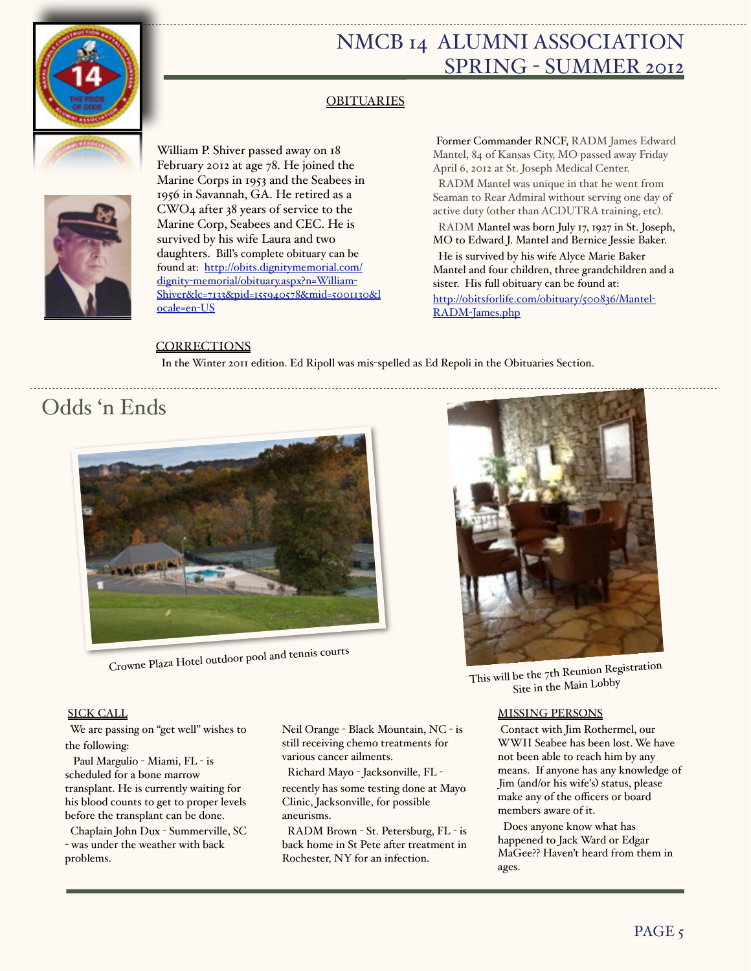

## **OBITUARIES**



William P. Shiver passed away on 18 February 2012 at age 78. He joined the Marine Corps in 1953 and the Seabees in 1956 in Savannah, GA. He retired as a CWO4 after 38 years of service to the Marine Corp, Seabees and CEC. He is survived by his wife Laura and two daughters. Bill's complete obituary can be found at: [http://obits.dignitymemorial.com/](http://obits.dignitymemorial.com/dignity-memorial/obituary.aspx?n=William-Shiver&lc=7133&pid=155940578&mid=5001130&locale=en-US) [dignity-memorial/obituary.aspx?n=William-](http://obits.dignitymemorial.com/dignity-memorial/obituary.aspx?n=William-Shiver&lc=7133&pid=155940578&mid=5001130&locale=en-US)[Shiver&lc=7133&pid=155940578&mid=5001130&l](http://obits.dignitymemorial.com/dignity-memorial/obituary.aspx?n=William-Shiver&lc=7133&pid=155940578&mid=5001130&locale=en-US) [ocale=en-US](http://obits.dignitymemorial.com/dignity-memorial/obituary.aspx?n=William-Shiver&lc=7133&pid=155940578&mid=5001130&locale=en-US)

Former Commander RNCF, RADM James Edward Mantel, 84 of Kansas City, MO passed away Friday April 6, 2012 at St. Joseph Medical Center.

 RADM Mantel was unique in that he went from Seaman to Rear Admiral without serving one day of active duty (other than ACDUTRA training, etc).

 RADM Mantel was born July 17, 1927 in St. Joseph, MO to Edward J. Mantel and Bernice Jessie Baker.

 He is survived by his wife Alyce Marie Baker Mantel and four children, three grandchildren and a sister. His full obituary can be found at: [http://obitsforlife.com/obituary/500836/Mantel-](http://obitsforlife.com/obituary/500836/Mantel-RADM-James.php)[RADM-James.php](http://obitsforlife.com/obituary/500836/Mantel-RADM-James.php)

### **CORRECTIONS**

In the Winter 2011 edition. Ed Ripoll was mis-spelled as Ed Repoli in the Obituaries Section.

# Odds ën Ends



Crowne Plaza Hotel outdoor pool and tennis courts

#### SICK CALL

We are passing on "get well" wishes to the following:

 Paul Margulio - Miami, FL - is scheduled for a bone marrow transplant. He is currently waiting for his blood counts to get to proper levels before the transplant can be done.

 Chaplain John Dux - Summerville, SC - was under the weather with back problems.

Neil Orange - Black Mountain, NC - is still receiving chemo treatments for various cancer ailments.

 Richard Mayo - Jacksonville, FL recently has some testing done at Mayo Clinic, Jacksonville, for possible aneurisms.

 RADM Brown - St. Petersburg, FL - is back home in St Pete after treatment in Rochester, NY for an infection.



This will be the <sup>7</sup>th Reunion Registration Site in the Main Lobby

#### MISSING PERSONS

 Contact with Jim Rothermel, our WWII Seabee has been lost. We have not been able to reach him by any means. If anyone has any knowledge of Jim (and/or his wife's) status, please make any of the officers or board members aware of it.

 Does anyone know what has happened to Jack Ward or Edgar MaGee?? Haven't heard from them in ages.